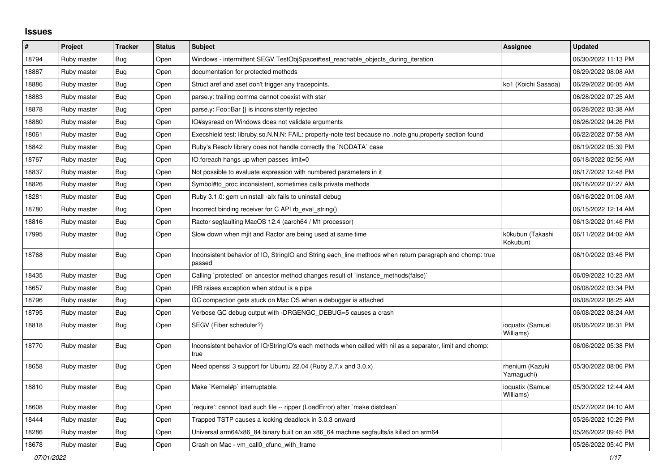## **Issues**

| $\pmb{\#}$ | Project     | <b>Tracker</b> | <b>Status</b> | <b>Subject</b>                                                                                                     | <b>Assignee</b>               | <b>Updated</b>      |
|------------|-------------|----------------|---------------|--------------------------------------------------------------------------------------------------------------------|-------------------------------|---------------------|
| 18794      | Ruby master | <b>Bug</b>     | Open          | Windows - intermittent SEGV TestObjSpace#test_reachable_objects_during_iteration                                   |                               | 06/30/2022 11:13 PM |
| 18887      | Ruby master | <b>Bug</b>     | Open          | documentation for protected methods                                                                                |                               | 06/29/2022 08:08 AM |
| 18886      | Ruby master | Bug            | Open          | Struct aref and aset don't trigger any tracepoints.                                                                | ko1 (Koichi Sasada)           | 06/29/2022 06:05 AM |
| 18883      | Ruby master | <b>Bug</b>     | Open          | parse.y: trailing comma cannot coexist with star                                                                   |                               | 06/28/2022 07:25 AM |
| 18878      | Ruby master | <b>Bug</b>     | Open          | parse.y: Foo::Bar {} is inconsistently rejected                                                                    |                               | 06/28/2022 03:38 AM |
| 18880      | Ruby master | <b>Bug</b>     | Open          | IO#sysread on Windows does not validate arguments                                                                  |                               | 06/26/2022 04:26 PM |
| 18061      | Ruby master | <b>Bug</b>     | Open          | Execshield test: libruby.so.N.N.N: FAIL: property-note test because no .note.gnu.property section found            |                               | 06/22/2022 07:58 AM |
| 18842      | Ruby master | Bug            | Open          | Ruby's Resolv library does not handle correctly the `NODATA` case                                                  |                               | 06/19/2022 05:39 PM |
| 18767      | Ruby master | Bug            | Open          | IO.foreach hangs up when passes limit=0                                                                            |                               | 06/18/2022 02:56 AM |
| 18837      | Ruby master | <b>Bug</b>     | Open          | Not possible to evaluate expression with numbered parameters in it                                                 |                               | 06/17/2022 12:48 PM |
| 18826      | Ruby master | <b>Bug</b>     | Open          | Symbol#to_proc inconsistent, sometimes calls private methods                                                       |                               | 06/16/2022 07:27 AM |
| 18281      | Ruby master | <b>Bug</b>     | Open          | Ruby 3.1.0: gem uninstall -alx fails to uninstall debug                                                            |                               | 06/16/2022 01:08 AM |
| 18780      | Ruby master | Bug            | Open          | Incorrect binding receiver for C API rb_eval_string()                                                              |                               | 06/15/2022 12:14 AM |
| 18816      | Ruby master | Bug            | Open          | Ractor segfaulting MacOS 12.4 (aarch64 / M1 processor)                                                             |                               | 06/13/2022 01:46 PM |
| 17995      | Ruby master | Bug            | Open          | Slow down when mjit and Ractor are being used at same time                                                         | k0kubun (Takashi<br>Kokubun)  | 06/11/2022 04:02 AM |
| 18768      | Ruby master | Bug            | Open          | Inconsistent behavior of IO, StringIO and String each_line methods when return paragraph and chomp: true<br>passed |                               | 06/10/2022 03:46 PM |
| 18435      | Ruby master | <b>Bug</b>     | Open          | Calling `protected` on ancestor method changes result of `instance_methods(false)`                                 |                               | 06/09/2022 10:23 AM |
| 18657      | Ruby master | Bug            | Open          | IRB raises exception when stdout is a pipe                                                                         |                               | 06/08/2022 03:34 PM |
| 18796      | Ruby master | Bug            | Open          | GC compaction gets stuck on Mac OS when a debugger is attached                                                     |                               | 06/08/2022 08:25 AM |
| 18795      | Ruby master | Bug            | Open          | Verbose GC debug output with -DRGENGC_DEBUG=5 causes a crash                                                       |                               | 06/08/2022 08:24 AM |
| 18818      | Ruby master | Bug            | Open          | SEGV (Fiber scheduler?)                                                                                            | ioquatix (Samuel<br>Williams) | 06/06/2022 06:31 PM |
| 18770      | Ruby master | Bug            | Open          | Inconsistent behavior of IO/StringIO's each methods when called with nil as a separator, limit and chomp:<br>true  |                               | 06/06/2022 05:38 PM |
| 18658      | Ruby master | Bug            | Open          | Need openssl 3 support for Ubuntu 22.04 (Ruby 2.7.x and 3.0.x)                                                     | rhenium (Kazuki<br>Yamaguchi) | 05/30/2022 08:06 PM |
| 18810      | Ruby master | Bug            | Open          | Make `Kernel#p` interruptable.                                                                                     | ioquatix (Samuel<br>Williams) | 05/30/2022 12:44 AM |
| 18608      | Ruby master | Bug            | Open          | require': cannot load such file -- ripper (LoadError) after `make distclean`                                       |                               | 05/27/2022 04:10 AM |
| 18444      | Ruby master | Bug            | Open          | Trapped TSTP causes a locking deadlock in 3.0.3 onward                                                             |                               | 05/26/2022 10:29 PM |
| 18286      | Ruby master | Bug            | Open          | Universal arm64/x86_84 binary built on an x86_64 machine segfaults/is killed on arm64                              |                               | 05/26/2022 09:45 PM |
| 18678      | Ruby master | <b>Bug</b>     | Open          | Crash on Mac - vm call0 cfunc with frame                                                                           |                               | 05/26/2022 05:40 PM |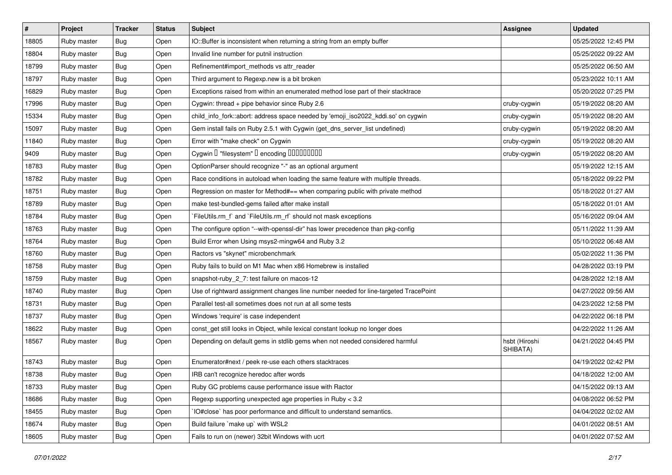| $\#$  | Project     | <b>Tracker</b> | <b>Status</b> | Subject                                                                             | <b>Assignee</b>           | <b>Updated</b>      |
|-------|-------------|----------------|---------------|-------------------------------------------------------------------------------------|---------------------------|---------------------|
| 18805 | Ruby master | Bug            | Open          | IO::Buffer is inconsistent when returning a string from an empty buffer             |                           | 05/25/2022 12:45 PM |
| 18804 | Ruby master | Bug            | Open          | Invalid line number for putnil instruction                                          |                           | 05/25/2022 09:22 AM |
| 18799 | Ruby master | Bug            | Open          | Refinement#import_methods vs attr_reader                                            |                           | 05/25/2022 06:50 AM |
| 18797 | Ruby master | Bug            | Open          | Third argument to Regexp.new is a bit broken                                        |                           | 05/23/2022 10:11 AM |
| 16829 | Ruby master | Bug            | Open          | Exceptions raised from within an enumerated method lose part of their stacktrace    |                           | 05/20/2022 07:25 PM |
| 17996 | Ruby master | <b>Bug</b>     | Open          | Cygwin: thread + pipe behavior since Ruby 2.6                                       | cruby-cygwin              | 05/19/2022 08:20 AM |
| 15334 | Ruby master | Bug            | Open          | child_info_fork::abort: address space needed by 'emoji_iso2022_kddi.so' on cygwin   | cruby-cygwin              | 05/19/2022 08:20 AM |
| 15097 | Ruby master | <b>Bug</b>     | Open          | Gem install fails on Ruby 2.5.1 with Cygwin (get_dns_server_list undefined)         | cruby-cygwin              | 05/19/2022 08:20 AM |
| 11840 | Ruby master | Bug            | Open          | Error with "make check" on Cygwin                                                   | cruby-cygwin              | 05/19/2022 08:20 AM |
| 9409  | Ruby master | Bug            | Open          | Cygwin I "filesystem" I encoding IIIIIIIIIIIII                                      | cruby-cygwin              | 05/19/2022 08:20 AM |
| 18783 | Ruby master | Bug            | Open          | OptionParser should recognize "-" as an optional argument                           |                           | 05/19/2022 12:15 AM |
| 18782 | Ruby master | <b>Bug</b>     | Open          | Race conditions in autoload when loading the same feature with multiple threads.    |                           | 05/18/2022 09:22 PM |
| 18751 | Ruby master | <b>Bug</b>     | Open          | Regression on master for Method#== when comparing public with private method        |                           | 05/18/2022 01:27 AM |
| 18789 | Ruby master | Bug            | Open          | make test-bundled-gems failed after make install                                    |                           | 05/18/2022 01:01 AM |
| 18784 | Ruby master | Bug            | Open          | `FileUtils.rm_f` and `FileUtils.rm_rf` should not mask exceptions                   |                           | 05/16/2022 09:04 AM |
| 18763 | Ruby master | Bug            | Open          | The configure option "--with-openssl-dir" has lower precedence than pkg-config      |                           | 05/11/2022 11:39 AM |
| 18764 | Ruby master | Bug            | Open          | Build Error when Using msys2-mingw64 and Ruby 3.2                                   |                           | 05/10/2022 06:48 AM |
| 18760 | Ruby master | Bug            | Open          | Ractors vs "skynet" microbenchmark                                                  |                           | 05/02/2022 11:36 PM |
| 18758 | Ruby master | Bug            | Open          | Ruby fails to build on M1 Mac when x86 Homebrew is installed                        |                           | 04/28/2022 03:19 PM |
| 18759 | Ruby master | <b>Bug</b>     | Open          | snapshot-ruby_2_7: test failure on macos-12                                         |                           | 04/28/2022 12:18 AM |
| 18740 | Ruby master | <b>Bug</b>     | Open          | Use of rightward assignment changes line number needed for line-targeted TracePoint |                           | 04/27/2022 09:56 AM |
| 18731 | Ruby master | Bug            | Open          | Parallel test-all sometimes does not run at all some tests                          |                           | 04/23/2022 12:58 PM |
| 18737 | Ruby master | Bug            | Open          | Windows 'require' is case independent                                               |                           | 04/22/2022 06:18 PM |
| 18622 | Ruby master | <b>Bug</b>     | Open          | const_get still looks in Object, while lexical constant lookup no longer does       |                           | 04/22/2022 11:26 AM |
| 18567 | Ruby master | Bug            | Open          | Depending on default gems in stdlib gems when not needed considered harmful         | hsbt (Hiroshi<br>SHIBATA) | 04/21/2022 04:45 PM |
| 18743 | Ruby master | Bug            | Open          | Enumerator#next / peek re-use each others stacktraces                               |                           | 04/19/2022 02:42 PM |
| 18738 | Ruby master | <b>Bug</b>     | Open          | IRB can't recognize heredoc after words                                             |                           | 04/18/2022 12:00 AM |
| 18733 | Ruby master | Bug            | Open          | Ruby GC problems cause performance issue with Ractor                                |                           | 04/15/2022 09:13 AM |
| 18686 | Ruby master | <b>Bug</b>     | Open          | Regexp supporting unexpected age properties in Ruby < 3.2                           |                           | 04/08/2022 06:52 PM |
| 18455 | Ruby master | <b>Bug</b>     | Open          | IO#close` has poor performance and difficult to understand semantics.               |                           | 04/04/2022 02:02 AM |
| 18674 | Ruby master | <b>Bug</b>     | Open          | Build failure `make up` with WSL2                                                   |                           | 04/01/2022 08:51 AM |
| 18605 | Ruby master | Bug            | Open          | Fails to run on (newer) 32bit Windows with ucrt                                     |                           | 04/01/2022 07:52 AM |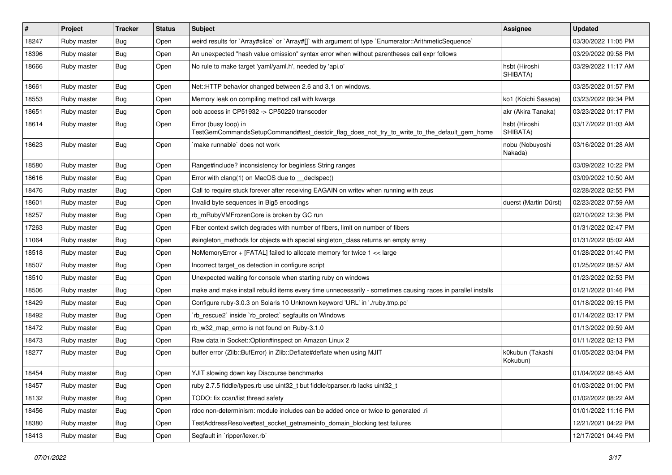| $\sharp$ | Project     | <b>Tracker</b> | <b>Status</b> | Subject                                                                                                             | <b>Assignee</b>              | <b>Updated</b>      |
|----------|-------------|----------------|---------------|---------------------------------------------------------------------------------------------------------------------|------------------------------|---------------------|
| 18247    | Ruby master | <b>Bug</b>     | Open          | weird results for `Array#slice` or `Array#[]` with argument of type `Enumerator::ArithmeticSequence`                |                              | 03/30/2022 11:05 PM |
| 18396    | Ruby master | Bug            | Open          | An unexpected "hash value omission" syntax error when without parentheses call expr follows                         |                              | 03/29/2022 09:58 PM |
| 18666    | Ruby master | Bug            | Open          | No rule to make target 'yaml/yaml.h', needed by 'api.o'                                                             | hsbt (Hiroshi<br>SHIBATA)    | 03/29/2022 11:17 AM |
| 18661    | Ruby master | Bug            | Open          | Net::HTTP behavior changed between 2.6 and 3.1 on windows.                                                          |                              | 03/25/2022 01:57 PM |
| 18553    | Ruby master | <b>Bug</b>     | Open          | Memory leak on compiling method call with kwargs                                                                    | ko1 (Koichi Sasada)          | 03/23/2022 09:34 PM |
| 18651    | Ruby master | <b>Bug</b>     | Open          | oob access in CP51932 -> CP50220 transcoder                                                                         | akr (Akira Tanaka)           | 03/23/2022 01:17 PM |
| 18614    | Ruby master | Bug            | Open          | Error (busy loop) in<br>TestGemCommandsSetupCommand#test_destdir_flag_does_not_try_to_write_to_the_default_gem_home | hsbt (Hiroshi<br>SHIBATA)    | 03/17/2022 01:03 AM |
| 18623    | Ruby master | Bug            | Open          | `make runnable` does not work                                                                                       | nobu (Nobuyoshi<br>Nakada)   | 03/16/2022 01:28 AM |
| 18580    | Ruby master | Bug            | Open          | Range#include? inconsistency for beginless String ranges                                                            |                              | 03/09/2022 10:22 PM |
| 18616    | Ruby master | Bug            | Open          | Error with clang(1) on MacOS due to _declspec()                                                                     |                              | 03/09/2022 10:50 AM |
| 18476    | Ruby master | <b>Bug</b>     | Open          | Call to require stuck forever after receiving EAGAIN on writev when running with zeus                               |                              | 02/28/2022 02:55 PM |
| 18601    | Ruby master | <b>Bug</b>     | Open          | Invalid byte sequences in Big5 encodings                                                                            | duerst (Martin Dürst)        | 02/23/2022 07:59 AM |
| 18257    | Ruby master | Bug            | Open          | rb_mRubyVMFrozenCore is broken by GC run                                                                            |                              | 02/10/2022 12:36 PM |
| 17263    | Ruby master | <b>Bug</b>     | Open          | Fiber context switch degrades with number of fibers, limit on number of fibers                                      |                              | 01/31/2022 02:47 PM |
| 11064    | Ruby master | <b>Bug</b>     | Open          | #singleton_methods for objects with special singleton_class returns an empty array                                  |                              | 01/31/2022 05:02 AM |
| 18518    | Ruby master | <b>Bug</b>     | Open          | NoMemoryError + [FATAL] failed to allocate memory for twice 1 << large                                              |                              | 01/28/2022 01:40 PM |
| 18507    | Ruby master | <b>Bug</b>     | Open          | Incorrect target_os detection in configure script                                                                   |                              | 01/25/2022 08:57 AM |
| 18510    | Ruby master | <b>Bug</b>     | Open          | Unexpected waiting for console when starting ruby on windows                                                        |                              | 01/23/2022 02:53 PM |
| 18506    | Ruby master | <b>Bug</b>     | Open          | make and make install rebuild items every time unnecessarily - sometimes causing races in parallel installs         |                              | 01/21/2022 01:46 PM |
| 18429    | Ruby master | Bug            | Open          | Configure ruby-3.0.3 on Solaris 10 Unknown keyword 'URL' in './ruby.tmp.pc'                                         |                              | 01/18/2022 09:15 PM |
| 18492    | Ruby master | Bug            | Open          | 'rb_rescue2` inside 'rb_protect' segfaults on Windows                                                               |                              | 01/14/2022 03:17 PM |
| 18472    | Ruby master | <b>Bug</b>     | Open          | rb_w32_map_errno is not found on Ruby-3.1.0                                                                         |                              | 01/13/2022 09:59 AM |
| 18473    | Ruby master | Bug            | Open          | Raw data in Socket:: Option#inspect on Amazon Linux 2                                                               |                              | 01/11/2022 02:13 PM |
| 18277    | Ruby master | <b>Bug</b>     | Open          | buffer error (Zlib::BufError) in Zlib::Deflate#deflate when using MJIT                                              | k0kubun (Takashi<br>Kokubun) | 01/05/2022 03:04 PM |
| 18454    | Ruby master | Bug            | Open          | YJIT slowing down key Discourse benchmarks                                                                          |                              | 01/04/2022 08:45 AM |
| 18457    | Ruby master | <b>Bug</b>     | Open          | ruby 2.7.5 fiddle/types.rb use uint32_t but fiddle/cparser.rb lacks uint32_t                                        |                              | 01/03/2022 01:00 PM |
| 18132    | Ruby master | <b>Bug</b>     | Open          | TODO: fix ccan/list thread safety                                                                                   |                              | 01/02/2022 08:22 AM |
| 18456    | Ruby master | <b>Bug</b>     | Open          | rdoc non-determinism: module includes can be added once or twice to generated .ri                                   |                              | 01/01/2022 11:16 PM |
| 18380    | Ruby master | Bug            | Open          | TestAddressResolve#test_socket_getnameinfo_domain_blocking test failures                                            |                              | 12/21/2021 04:22 PM |
| 18413    | Ruby master | <b>Bug</b>     | Open          | Segfault in `ripper/lexer.rb`                                                                                       |                              | 12/17/2021 04:49 PM |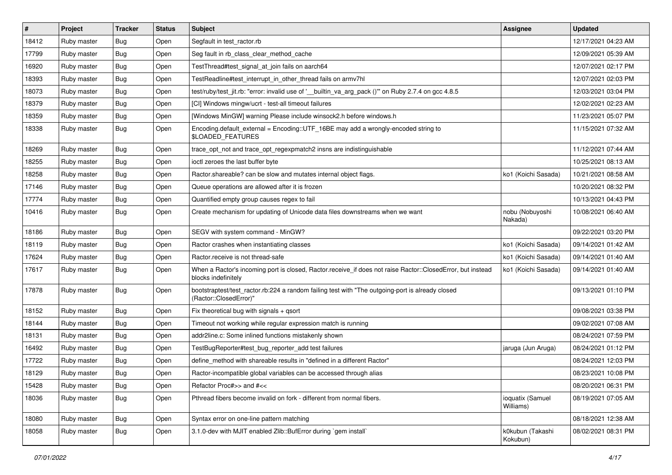| #     | Project     | <b>Tracker</b> | <b>Status</b> | Subject                                                                                                                           | <b>Assignee</b>               | <b>Updated</b>      |
|-------|-------------|----------------|---------------|-----------------------------------------------------------------------------------------------------------------------------------|-------------------------------|---------------------|
| 18412 | Ruby master | <b>Bug</b>     | Open          | Segfault in test_ractor.rb                                                                                                        |                               | 12/17/2021 04:23 AM |
| 17799 | Ruby master | <b>Bug</b>     | Open          | Seg fault in rb_class_clear_method_cache                                                                                          |                               | 12/09/2021 05:39 AM |
| 16920 | Ruby master | Bug            | Open          | TestThread#test_signal_at_join fails on aarch64                                                                                   |                               | 12/07/2021 02:17 PM |
| 18393 | Ruby master | <b>Bug</b>     | Open          | TestReadline#test_interrupt_in_other_thread fails on armv7hl                                                                      |                               | 12/07/2021 02:03 PM |
| 18073 | Ruby master | Bug            | Open          | test/ruby/test_jit.rb: "error: invalid use of '__builtin_va_arg_pack ()"' on Ruby 2.7.4 on gcc 4.8.5                              |                               | 12/03/2021 03:04 PM |
| 18379 | Ruby master | Bug            | Open          | [CI] Windows mingw/ucrt - test-all timeout failures                                                                               |                               | 12/02/2021 02:23 AM |
| 18359 | Ruby master | <b>Bug</b>     | Open          | [Windows MinGW] warning Please include winsock2.h before windows.h                                                                |                               | 11/23/2021 05:07 PM |
| 18338 | Ruby master | <b>Bug</b>     | Open          | Encoding.default_external = Encoding::UTF_16BE may add a wrongly-encoded string to<br>\$LOADED_FEATURES                           |                               | 11/15/2021 07:32 AM |
| 18269 | Ruby master | Bug            | Open          | trace_opt_not and trace_opt_regexpmatch2 insns are indistinguishable                                                              |                               | 11/12/2021 07:44 AM |
| 18255 | Ruby master | Bug            | Open          | ioctl zeroes the last buffer byte                                                                                                 |                               | 10/25/2021 08:13 AM |
| 18258 | Ruby master | Bug            | Open          | Ractor.shareable? can be slow and mutates internal object flags.                                                                  | ko1 (Koichi Sasada)           | 10/21/2021 08:58 AM |
| 17146 | Ruby master | <b>Bug</b>     | Open          | Queue operations are allowed after it is frozen                                                                                   |                               | 10/20/2021 08:32 PM |
| 17774 | Ruby master | <b>Bug</b>     | Open          | Quantified empty group causes regex to fail                                                                                       |                               | 10/13/2021 04:43 PM |
| 10416 | Ruby master | <b>Bug</b>     | Open          | Create mechanism for updating of Unicode data files downstreams when we want                                                      | nobu (Nobuyoshi<br>Nakada)    | 10/08/2021 06:40 AM |
| 18186 | Ruby master | <b>Bug</b>     | Open          | SEGV with system command - MinGW?                                                                                                 |                               | 09/22/2021 03:20 PM |
| 18119 | Ruby master | Bug            | Open          | Ractor crashes when instantiating classes                                                                                         | ko1 (Koichi Sasada)           | 09/14/2021 01:42 AM |
| 17624 | Ruby master | <b>Bug</b>     | Open          | Ractor.receive is not thread-safe                                                                                                 | ko1 (Koichi Sasada)           | 09/14/2021 01:40 AM |
| 17617 | Ruby master | <b>Bug</b>     | Open          | When a Ractor's incoming port is closed, Ractor.receive_if does not raise Ractor::ClosedError, but instead<br>blocks indefinitely | ko1 (Koichi Sasada)           | 09/14/2021 01:40 AM |
| 17878 | Ruby master | Bug            | Open          | bootstraptest/test_ractor.rb:224 a random failing test with "The outgoing-port is already closed<br>(Ractor::ClosedError)"        |                               | 09/13/2021 01:10 PM |
| 18152 | Ruby master | <b>Bug</b>     | Open          | Fix theoretical bug with signals $+$ qsort                                                                                        |                               | 09/08/2021 03:38 PM |
| 18144 | Ruby master | <b>Bug</b>     | Open          | Timeout not working while regular expression match is running                                                                     |                               | 09/02/2021 07:08 AM |
| 18131 | Ruby master | <b>Bug</b>     | Open          | addr2line.c: Some inlined functions mistakenly shown                                                                              |                               | 08/24/2021 07:59 PM |
| 16492 | Ruby master | <b>Bug</b>     | Open          | TestBugReporter#test bug reporter add test failures                                                                               | jaruga (Jun Aruga)            | 08/24/2021 01:12 PM |
| 17722 | Ruby master | <b>Bug</b>     | Open          | define_method with shareable results in "defined in a different Ractor"                                                           |                               | 08/24/2021 12:03 PM |
| 18129 | Ruby master | Bug            | Open          | Ractor-incompatible global variables can be accessed through alias                                                                |                               | 08/23/2021 10:08 PM |
| 15428 | Ruby master | <b>Bug</b>     | Open          | Refactor Proc#>> and #<<                                                                                                          |                               | 08/20/2021 06:31 PM |
| 18036 | Ruby master | Bug            | Open          | Pthread fibers become invalid on fork - different from normal fibers.                                                             | ioquatix (Samuel<br>Williams) | 08/19/2021 07:05 AM |
| 18080 | Ruby master | <b>Bug</b>     | Open          | Syntax error on one-line pattern matching                                                                                         |                               | 08/18/2021 12:38 AM |
| 18058 | Ruby master | <b>Bug</b>     | Open          | 3.1.0-dev with MJIT enabled Zlib::BufError during `gem install`                                                                   | k0kubun (Takashi<br>Kokubun)  | 08/02/2021 08:31 PM |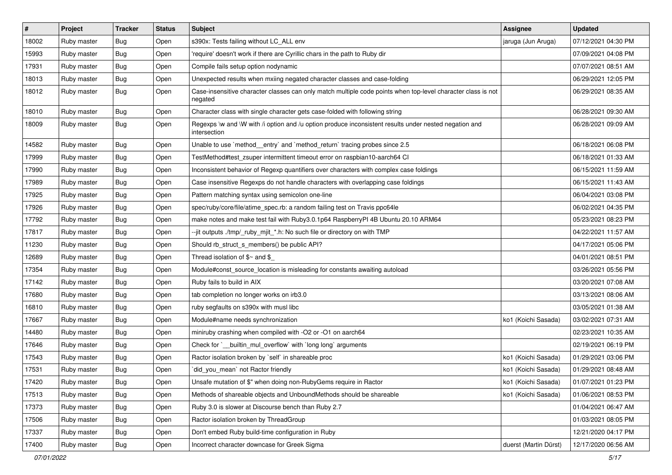| $\pmb{\sharp}$ | Project     | <b>Tracker</b> | <b>Status</b> | <b>Subject</b>                                                                                                          | <b>Assignee</b>       | <b>Updated</b>      |
|----------------|-------------|----------------|---------------|-------------------------------------------------------------------------------------------------------------------------|-----------------------|---------------------|
| 18002          | Ruby master | Bug            | Open          | s390x: Tests failing without LC_ALL env                                                                                 | jaruga (Jun Aruga)    | 07/12/2021 04:30 PM |
| 15993          | Ruby master | Bug            | Open          | 'require' doesn't work if there are Cyrillic chars in the path to Ruby dir                                              |                       | 07/09/2021 04:08 PM |
| 17931          | Ruby master | Bug            | Open          | Compile fails setup option nodynamic                                                                                    |                       | 07/07/2021 08:51 AM |
| 18013          | Ruby master | <b>Bug</b>     | Open          | Unexpected results when mxiing negated character classes and case-folding                                               |                       | 06/29/2021 12:05 PM |
| 18012          | Ruby master | Bug            | Open          | Case-insensitive character classes can only match multiple code points when top-level character class is not<br>negated |                       | 06/29/2021 08:35 AM |
| 18010          | Ruby master | <b>Bug</b>     | Open          | Character class with single character gets case-folded with following string                                            |                       | 06/28/2021 09:30 AM |
| 18009          | Ruby master | <b>Bug</b>     | Open          | Regexps \w and \W with /i option and /u option produce inconsistent results under nested negation and<br>intersection   |                       | 06/28/2021 09:09 AM |
| 14582          | Ruby master | Bug            | Open          | Unable to use `method_entry` and `method_return` tracing probes since 2.5                                               |                       | 06/18/2021 06:08 PM |
| 17999          | Ruby master | <b>Bug</b>     | Open          | TestMethod#test_zsuper intermittent timeout error on raspbian10-aarch64 CI                                              |                       | 06/18/2021 01:33 AM |
| 17990          | Ruby master | <b>Bug</b>     | Open          | Inconsistent behavior of Regexp quantifiers over characters with complex case foldings                                  |                       | 06/15/2021 11:59 AM |
| 17989          | Ruby master | Bug            | Open          | Case insensitive Regexps do not handle characters with overlapping case foldings                                        |                       | 06/15/2021 11:43 AM |
| 17925          | Ruby master | Bug            | Open          | Pattern matching syntax using semicolon one-line                                                                        |                       | 06/04/2021 03:08 PM |
| 17926          | Ruby master | Bug            | Open          | spec/ruby/core/file/atime_spec.rb: a random failing test on Travis ppc64le                                              |                       | 06/02/2021 04:35 PM |
| 17792          | Ruby master | Bug            | Open          | make notes and make test fail with Ruby3.0.1p64 RaspberryPI 4B Ubuntu 20.10 ARM64                                       |                       | 05/23/2021 08:23 PM |
| 17817          | Ruby master | Bug            | Open          | --jit outputs ./tmp/_ruby_mjit_*.h: No such file or directory on with TMP                                               |                       | 04/22/2021 11:57 AM |
| 11230          | Ruby master | Bug            | Open          | Should rb_struct_s_members() be public API?                                                                             |                       | 04/17/2021 05:06 PM |
| 12689          | Ruby master | <b>Bug</b>     | Open          | Thread isolation of $$~$ and \$                                                                                         |                       | 04/01/2021 08:51 PM |
| 17354          | Ruby master | <b>Bug</b>     | Open          | Module#const_source_location is misleading for constants awaiting autoload                                              |                       | 03/26/2021 05:56 PM |
| 17142          | Ruby master | <b>Bug</b>     | Open          | Ruby fails to build in AIX                                                                                              |                       | 03/20/2021 07:08 AM |
| 17680          | Ruby master | Bug            | Open          | tab completion no longer works on irb3.0                                                                                |                       | 03/13/2021 08:06 AM |
| 16810          | Ruby master | Bug            | Open          | ruby segfaults on s390x with musl libc                                                                                  |                       | 03/05/2021 01:38 AM |
| 17667          | Ruby master | <b>Bug</b>     | Open          | Module#name needs synchronization                                                                                       | ko1 (Koichi Sasada)   | 03/02/2021 07:31 AM |
| 14480          | Ruby master | <b>Bug</b>     | Open          | miniruby crashing when compiled with -O2 or -O1 on aarch64                                                              |                       | 02/23/2021 10:35 AM |
| 17646          | Ruby master | Bug            | Open          | Check for `_builtin_mul_overflow` with `long long` arguments                                                            |                       | 02/19/2021 06:19 PM |
| 17543          | Ruby master | <b>Bug</b>     | Open          | Ractor isolation broken by `self` in shareable proc                                                                     | ko1 (Koichi Sasada)   | 01/29/2021 03:06 PM |
| 17531          | Ruby master | <b>Bug</b>     | Open          | did_you_mean` not Ractor friendly                                                                                       | ko1 (Koichi Sasada)   | 01/29/2021 08:48 AM |
| 17420          | Ruby master | Bug            | Open          | Unsafe mutation of \$" when doing non-RubyGems require in Ractor                                                        | ko1 (Koichi Sasada)   | 01/07/2021 01:23 PM |
| 17513          | Ruby master | <b>Bug</b>     | Open          | Methods of shareable objects and UnboundMethods should be shareable                                                     | ko1 (Koichi Sasada)   | 01/06/2021 08:53 PM |
| 17373          | Ruby master | <b>Bug</b>     | Open          | Ruby 3.0 is slower at Discourse bench than Ruby 2.7                                                                     |                       | 01/04/2021 06:47 AM |
| 17506          | Ruby master | <b>Bug</b>     | Open          | Ractor isolation broken by ThreadGroup                                                                                  |                       | 01/03/2021 08:05 PM |
| 17337          | Ruby master | Bug            | Open          | Don't embed Ruby build-time configuration in Ruby                                                                       |                       | 12/21/2020 04:17 PM |
| 17400          | Ruby master | Bug            | Open          | Incorrect character downcase for Greek Sigma                                                                            | duerst (Martin Dürst) | 12/17/2020 06:56 AM |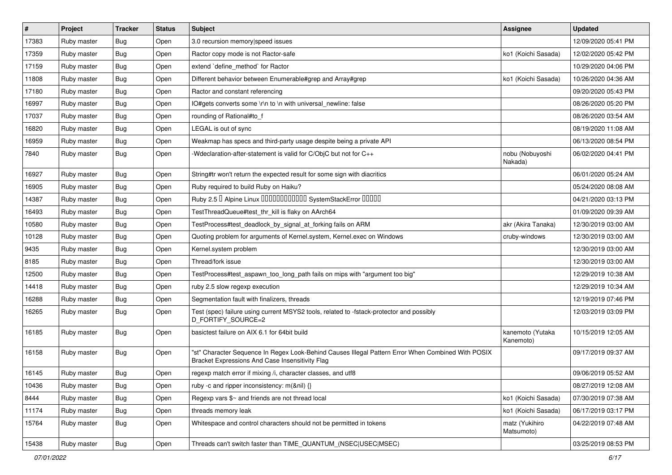| $\pmb{\sharp}$ | Project     | <b>Tracker</b> | <b>Status</b> | Subject                                                                                                                                               | <b>Assignee</b>               | <b>Updated</b>      |
|----------------|-------------|----------------|---------------|-------------------------------------------------------------------------------------------------------------------------------------------------------|-------------------------------|---------------------|
| 17383          | Ruby master | <b>Bug</b>     | Open          | 3.0 recursion memory speed issues                                                                                                                     |                               | 12/09/2020 05:41 PM |
| 17359          | Ruby master | Bug            | Open          | Ractor copy mode is not Ractor-safe                                                                                                                   | ko1 (Koichi Sasada)           | 12/02/2020 05:42 PM |
| 17159          | Ruby master | Bug            | Open          | extend 'define method' for Ractor                                                                                                                     |                               | 10/29/2020 04:06 PM |
| 11808          | Ruby master | Bug            | Open          | Different behavior between Enumerable#grep and Array#grep                                                                                             | ko1 (Koichi Sasada)           | 10/26/2020 04:36 AM |
| 17180          | Ruby master | Bug            | Open          | Ractor and constant referencing                                                                                                                       |                               | 09/20/2020 05:43 PM |
| 16997          | Ruby master | Bug            | Open          | IO#gets converts some \r\n to \n with universal newline: false                                                                                        |                               | 08/26/2020 05:20 PM |
| 17037          | Ruby master | Bug            | Open          | rounding of Rational#to_f                                                                                                                             |                               | 08/26/2020 03:54 AM |
| 16820          | Ruby master | <b>Bug</b>     | Open          | LEGAL is out of sync                                                                                                                                  |                               | 08/19/2020 11:08 AM |
| 16959          | Ruby master | Bug            | Open          | Weakmap has specs and third-party usage despite being a private API                                                                                   |                               | 06/13/2020 08:54 PM |
| 7840           | Ruby master | Bug            | Open          | -Wdeclaration-after-statement is valid for C/ObjC but not for C++                                                                                     | nobu (Nobuyoshi<br>Nakada)    | 06/02/2020 04:41 PM |
| 16927          | Ruby master | <b>Bug</b>     | Open          | String#tr won't return the expected result for some sign with diacritics                                                                              |                               | 06/01/2020 05:24 AM |
| 16905          | Ruby master | Bug            | Open          | Ruby required to build Ruby on Haiku?                                                                                                                 |                               | 05/24/2020 08:08 AM |
| 14387          | Ruby master | <b>Bug</b>     | Open          | Ruby 2.5 <sup>D</sup> Alpine Linux 000000000000 SystemStackError 00000                                                                                |                               | 04/21/2020 03:13 PM |
| 16493          | Ruby master | Bug            | Open          | TestThreadQueue#test_thr_kill is flaky on AArch64                                                                                                     |                               | 01/09/2020 09:39 AM |
| 10580          | Ruby master | <b>Bug</b>     | Open          | TestProcess#test_deadlock_by_signal_at_forking fails on ARM                                                                                           | akr (Akira Tanaka)            | 12/30/2019 03:00 AM |
| 10128          | Ruby master | Bug            | Open          | Quoting problem for arguments of Kernel.system, Kernel.exec on Windows                                                                                | cruby-windows                 | 12/30/2019 03:00 AM |
| 9435           | Ruby master | Bug            | Open          | Kernel.system problem                                                                                                                                 |                               | 12/30/2019 03:00 AM |
| 8185           | Ruby master | Bug            | Open          | Thread/fork issue                                                                                                                                     |                               | 12/30/2019 03:00 AM |
| 12500          | Ruby master | Bug            | Open          | TestProcess#test_aspawn_too_long_path fails on mips with "argument too big"                                                                           |                               | 12/29/2019 10:38 AM |
| 14418          | Ruby master | Bug            | Open          | ruby 2.5 slow regexp execution                                                                                                                        |                               | 12/29/2019 10:34 AM |
| 16288          | Ruby master | Bug            | Open          | Segmentation fault with finalizers, threads                                                                                                           |                               | 12/19/2019 07:46 PM |
| 16265          | Ruby master | Bug            | Open          | Test (spec) failure using current MSYS2 tools, related to -fstack-protector and possibly<br>D_FORTIFY_SOURCE=2                                        |                               | 12/03/2019 03:09 PM |
| 16185          | Ruby master | Bug            | Open          | basictest failure on AIX 6.1 for 64bit build                                                                                                          | kanemoto (Yutaka<br>Kanemoto) | 10/15/2019 12:05 AM |
| 16158          | Ruby master | Bug            | Open          | "st" Character Sequence In Regex Look-Behind Causes Illegal Pattern Error When Combined With POSIX<br>Bracket Expressions And Case Insensitivity Flag |                               | 09/17/2019 09:37 AM |
| 16145          | Ruby master | Bug            | Open          | regexp match error if mixing /i, character classes, and utf8                                                                                          |                               | 09/06/2019 05:52 AM |
| 10436          | Ruby master | <b>Bug</b>     | Open          | ruby -c and ripper inconsistency: m(&nil) {}                                                                                                          |                               | 08/27/2019 12:08 AM |
| 8444           | Ruby master | <b>Bug</b>     | Open          | Regexp vars \$~ and friends are not thread local                                                                                                      | ko1 (Koichi Sasada)           | 07/30/2019 07:38 AM |
| 11174          | Ruby master | <b>Bug</b>     | Open          | threads memory leak                                                                                                                                   | ko1 (Koichi Sasada)           | 06/17/2019 03:17 PM |
| 15764          | Ruby master | Bug            | Open          | Whitespace and control characters should not be permitted in tokens                                                                                   | matz (Yukihiro<br>Matsumoto)  | 04/22/2019 07:48 AM |
| 15438          | Ruby master | Bug            | Open          | Threads can't switch faster than TIME QUANTUM (NSEC USEC MSEC)                                                                                        |                               | 03/25/2019 08:53 PM |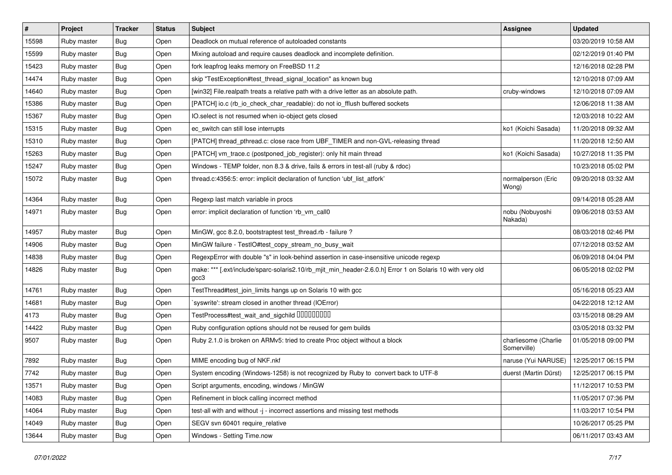| $\sharp$ | Project     | <b>Tracker</b> | <b>Status</b> | Subject                                                                                                           | <b>Assignee</b>                     | <b>Updated</b>      |
|----------|-------------|----------------|---------------|-------------------------------------------------------------------------------------------------------------------|-------------------------------------|---------------------|
| 15598    | Ruby master | <b>Bug</b>     | Open          | Deadlock on mutual reference of autoloaded constants                                                              |                                     | 03/20/2019 10:58 AM |
| 15599    | Ruby master | Bug            | Open          | Mixing autoload and require causes deadlock and incomplete definition.                                            |                                     | 02/12/2019 01:40 PM |
| 15423    | Ruby master | <b>Bug</b>     | Open          | fork leapfrog leaks memory on FreeBSD 11.2                                                                        |                                     | 12/16/2018 02:28 PM |
| 14474    | Ruby master | <b>Bug</b>     | Open          | skip "TestException#test_thread_signal_location" as known bug                                                     |                                     | 12/10/2018 07:09 AM |
| 14640    | Ruby master | Bug            | Open          | [win32] File.realpath treats a relative path with a drive letter as an absolute path.                             | cruby-windows                       | 12/10/2018 07:09 AM |
| 15386    | Ruby master | <b>Bug</b>     | Open          | [PATCH] io.c (rb_io_check_char_readable): do not io_fflush buffered sockets                                       |                                     | 12/06/2018 11:38 AM |
| 15367    | Ruby master | Bug            | Open          | IO.select is not resumed when io-object gets closed                                                               |                                     | 12/03/2018 10:22 AM |
| 15315    | Ruby master | Bug            | Open          | ec_switch can still lose interrupts                                                                               | ko1 (Koichi Sasada)                 | 11/20/2018 09:32 AM |
| 15310    | Ruby master | Bug            | Open          | [PATCH] thread_pthread.c: close race from UBF_TIMER and non-GVL-releasing thread                                  |                                     | 11/20/2018 12:50 AM |
| 15263    | Ruby master | Bug            | Open          | [PATCH] vm_trace.c (postponed_job_register): only hit main thread                                                 | ko1 (Koichi Sasada)                 | 10/27/2018 11:35 PM |
| 15247    | Ruby master | <b>Bug</b>     | Open          | Windows - TEMP folder, non 8.3 & drive, fails & errors in test-all (ruby & rdoc)                                  |                                     | 10/23/2018 05:02 PM |
| 15072    | Ruby master | <b>Bug</b>     | Open          | thread.c:4356:5: error: implicit declaration of function 'ubf_list_atfork'                                        | normalperson (Eric<br>Wong)         | 09/20/2018 03:32 AM |
| 14364    | Ruby master | Bug            | Open          | Regexp last match variable in procs                                                                               |                                     | 09/14/2018 05:28 AM |
| 14971    | Ruby master | Bug            | Open          | error: implicit declaration of function 'rb_vm_call0                                                              | nobu (Nobuyoshi<br>Nakada)          | 09/06/2018 03:53 AM |
| 14957    | Ruby master | Bug            | Open          | MinGW, gcc 8.2.0, bootstraptest test_thread.rb - failure ?                                                        |                                     | 08/03/2018 02:46 PM |
| 14906    | Ruby master | Bug            | Open          | MinGW failure - TestIO#test_copy_stream_no_busy_wait                                                              |                                     | 07/12/2018 03:52 AM |
| 14838    | Ruby master | <b>Bug</b>     | Open          | RegexpError with double "s" in look-behind assertion in case-insensitive unicode regexp                           |                                     | 06/09/2018 04:04 PM |
| 14826    | Ruby master | Bug            | Open          | make: *** [.ext/include/sparc-solaris2.10/rb_mjit_min_header-2.6.0.h] Error 1 on Solaris 10 with very old<br>gcc3 |                                     | 06/05/2018 02:02 PM |
| 14761    | Ruby master | <b>Bug</b>     | Open          | TestThread#test_join_limits hangs up on Solaris 10 with gcc                                                       |                                     | 05/16/2018 05:23 AM |
| 14681    | Ruby master | Bug            | Open          | syswrite': stream closed in another thread (IOError)                                                              |                                     | 04/22/2018 12:12 AM |
| 4173     | Ruby master | Bug            | Open          | TestProcess#test_wait_and_sigchild DDDDDDDD                                                                       |                                     | 03/15/2018 08:29 AM |
| 14422    | Ruby master | <b>Bug</b>     | Open          | Ruby configuration options should not be reused for gem builds                                                    |                                     | 03/05/2018 03:32 PM |
| 9507     | Ruby master | Bug            | Open          | Ruby 2.1.0 is broken on ARMv5: tried to create Proc object without a block                                        | charliesome (Charlie<br>Somerville) | 01/05/2018 09:00 PM |
| 7892     | Ruby master | <b>Bug</b>     | Open          | MIME encoding bug of NKF.nkf                                                                                      | naruse (Yui NARUSE)                 | 12/25/2017 06:15 PM |
| 7742     | Ruby master | <b>Bug</b>     | Open          | System encoding (Windows-1258) is not recognized by Ruby to convert back to UTF-8                                 | duerst (Martin Dürst)               | 12/25/2017 06:15 PM |
| 13571    | Ruby master | <b>Bug</b>     | Open          | Script arguments, encoding, windows / MinGW                                                                       |                                     | 11/12/2017 10:53 PM |
| 14083    | Ruby master | <b>Bug</b>     | Open          | Refinement in block calling incorrect method                                                                      |                                     | 11/05/2017 07:36 PM |
| 14064    | Ruby master | <b>Bug</b>     | Open          | test-all with and without -j - incorrect assertions and missing test methods                                      |                                     | 11/03/2017 10:54 PM |
| 14049    | Ruby master | Bug            | Open          | SEGV svn 60401 require_relative                                                                                   |                                     | 10/26/2017 05:25 PM |
| 13644    | Ruby master | Bug            | Open          | Windows - Setting Time.now                                                                                        |                                     | 06/11/2017 03:43 AM |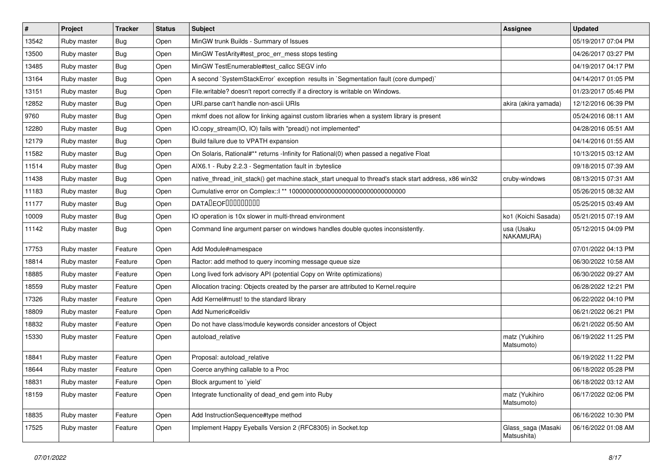| #     | Project     | <b>Tracker</b> | <b>Status</b> | Subject                                                                                               | <b>Assignee</b>                   | <b>Updated</b>      |
|-------|-------------|----------------|---------------|-------------------------------------------------------------------------------------------------------|-----------------------------------|---------------------|
| 13542 | Ruby master | Bug            | Open          | MinGW trunk Builds - Summary of Issues                                                                |                                   | 05/19/2017 07:04 PM |
| 13500 | Ruby master | <b>Bug</b>     | Open          | MinGW TestArity#test_proc_err_mess stops testing                                                      |                                   | 04/26/2017 03:27 PM |
| 13485 | Ruby master | Bug            | Open          | MinGW TestEnumerable#test_callcc SEGV info                                                            |                                   | 04/19/2017 04:17 PM |
| 13164 | Ruby master | <b>Bug</b>     | Open          | A second `SystemStackError` exception results in `Segmentation fault (core dumped)`                   |                                   | 04/14/2017 01:05 PM |
| 13151 | Ruby master | Bug            | Open          | File.writable? doesn't report correctly if a directory is writable on Windows.                        |                                   | 01/23/2017 05:46 PM |
| 12852 | Ruby master | Bug            | Open          | URI.parse can't handle non-ascii URIs                                                                 | akira (akira yamada)              | 12/12/2016 06:39 PM |
| 9760  | Ruby master | <b>Bug</b>     | Open          | mkmf does not allow for linking against custom libraries when a system library is present             |                                   | 05/24/2016 08:11 AM |
| 12280 | Ruby master | Bug            | Open          | IO.copy_stream(IO, IO) fails with "pread() not implemented"                                           |                                   | 04/28/2016 05:51 AM |
| 12179 | Ruby master | <b>Bug</b>     | Open          | Build failure due to VPATH expansion                                                                  |                                   | 04/14/2016 01:55 AM |
| 11582 | Ruby master | <b>Bug</b>     | Open          | On Solaris, Rational#** returns -Infinity for Rational(0) when passed a negative Float                |                                   | 10/13/2015 03:12 AM |
| 11514 | Ruby master | Bug            | Open          | AIX6.1 - Ruby 2.2.3 - Segmentation fault in :byteslice                                                |                                   | 09/18/2015 07:39 AM |
| 11438 | Ruby master | Bug            | Open          | native_thread_init_stack() get machine.stack_start unequal to thread's stack start address, x86 win32 | cruby-windows                     | 08/13/2015 07:31 AM |
| 11183 | Ruby master | Bug            | Open          |                                                                                                       |                                   | 05/26/2015 08:32 AM |
| 11177 | Ruby master | <b>Bug</b>     | Open          | <b>DATADEOFOOOOOOOO</b>                                                                               |                                   | 05/25/2015 03:49 AM |
| 10009 | Ruby master | <b>Bug</b>     | Open          | IO operation is 10x slower in multi-thread environment                                                | ko1 (Koichi Sasada)               | 05/21/2015 07:19 AM |
| 11142 | Ruby master | Bug            | Open          | Command line argument parser on windows handles double quotes inconsistently.                         | usa (Usaku<br>NAKAMURA)           | 05/12/2015 04:09 PM |
| 17753 | Ruby master | Feature        | Open          | Add Module#namespace                                                                                  |                                   | 07/01/2022 04:13 PM |
| 18814 | Ruby master | Feature        | Open          | Ractor: add method to query incoming message queue size                                               |                                   | 06/30/2022 10:58 AM |
| 18885 | Ruby master | Feature        | Open          | Long lived fork advisory API (potential Copy on Write optimizations)                                  |                                   | 06/30/2022 09:27 AM |
| 18559 | Ruby master | Feature        | Open          | Allocation tracing: Objects created by the parser are attributed to Kernel.require                    |                                   | 06/28/2022 12:21 PM |
| 17326 | Ruby master | Feature        | Open          | Add Kernel#must! to the standard library                                                              |                                   | 06/22/2022 04:10 PM |
| 18809 | Ruby master | Feature        | Open          | Add Numeric#ceildiv                                                                                   |                                   | 06/21/2022 06:21 PM |
| 18832 | Ruby master | Feature        | Open          | Do not have class/module keywords consider ancestors of Object                                        |                                   | 06/21/2022 05:50 AM |
| 15330 | Ruby master | Feature        | Open          | autoload relative                                                                                     | matz (Yukihiro<br>Matsumoto)      | 06/19/2022 11:25 PM |
| 18841 | Ruby master | Feature        | Open          | Proposal: autoload_relative                                                                           |                                   | 06/19/2022 11:22 PM |
| 18644 | Ruby master | Feature        | Open          | Coerce anything callable to a Proc                                                                    |                                   | 06/18/2022 05:28 PM |
| 18831 | Ruby master | Feature        | Open          | Block argument to `yield`                                                                             |                                   | 06/18/2022 03:12 AM |
| 18159 | Ruby master | Feature        | Open          | Integrate functionality of dead_end gem into Ruby                                                     | matz (Yukihiro<br>Matsumoto)      | 06/17/2022 02:06 PM |
| 18835 | Ruby master | Feature        | Open          | Add InstructionSequence#type method                                                                   |                                   | 06/16/2022 10:30 PM |
| 17525 | Ruby master | Feature        | Open          | Implement Happy Eyeballs Version 2 (RFC8305) in Socket.tcp                                            | Glass_saga (Masaki<br>Matsushita) | 06/16/2022 01:08 AM |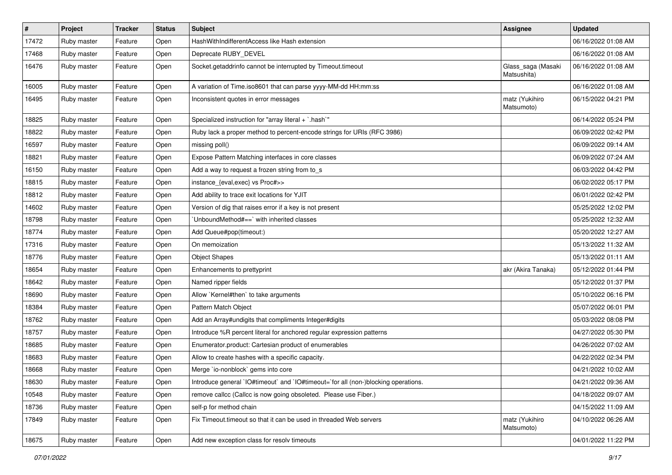| $\vert$ # | Project     | Tracker | <b>Status</b> | <b>Subject</b>                                                                     | <b>Assignee</b>                   | <b>Updated</b>      |
|-----------|-------------|---------|---------------|------------------------------------------------------------------------------------|-----------------------------------|---------------------|
| 17472     | Ruby master | Feature | Open          | HashWithIndifferentAccess like Hash extension                                      |                                   | 06/16/2022 01:08 AM |
| 17468     | Ruby master | Feature | Open          | Deprecate RUBY_DEVEL                                                               |                                   | 06/16/2022 01:08 AM |
| 16476     | Ruby master | Feature | Open          | Socket.getaddrinfo cannot be interrupted by Timeout.timeout                        | Glass_saga (Masaki<br>Matsushita) | 06/16/2022 01:08 AM |
| 16005     | Ruby master | Feature | Open          | A variation of Time.iso8601 that can parse yyyy-MM-dd HH:mm:ss                     |                                   | 06/16/2022 01:08 AM |
| 16495     | Ruby master | Feature | Open          | Inconsistent quotes in error messages                                              | matz (Yukihiro<br>Matsumoto)      | 06/15/2022 04:21 PM |
| 18825     | Ruby master | Feature | Open          | Specialized instruction for "array literal + `.hash`"                              |                                   | 06/14/2022 05:24 PM |
| 18822     | Ruby master | Feature | Open          | Ruby lack a proper method to percent-encode strings for URIs (RFC 3986)            |                                   | 06/09/2022 02:42 PM |
| 16597     | Ruby master | Feature | Open          | missing poll()                                                                     |                                   | 06/09/2022 09:14 AM |
| 18821     | Ruby master | Feature | Open          | Expose Pattern Matching interfaces in core classes                                 |                                   | 06/09/2022 07:24 AM |
| 16150     | Ruby master | Feature | Open          | Add a way to request a frozen string from to_s                                     |                                   | 06/03/2022 04:42 PM |
| 18815     | Ruby master | Feature | Open          | instance_{eval,exec} vs Proc#>>                                                    |                                   | 06/02/2022 05:17 PM |
| 18812     | Ruby master | Feature | Open          | Add ability to trace exit locations for YJIT                                       |                                   | 06/01/2022 02:42 PM |
| 14602     | Ruby master | Feature | Open          | Version of dig that raises error if a key is not present                           |                                   | 05/25/2022 12:02 PM |
| 18798     | Ruby master | Feature | Open          | UnboundMethod#==`with inherited classes                                            |                                   | 05/25/2022 12:32 AM |
| 18774     | Ruby master | Feature | Open          | Add Queue#pop(timeout:)                                                            |                                   | 05/20/2022 12:27 AM |
| 17316     | Ruby master | Feature | Open          | On memoization                                                                     |                                   | 05/13/2022 11:32 AM |
| 18776     | Ruby master | Feature | Open          | <b>Object Shapes</b>                                                               |                                   | 05/13/2022 01:11 AM |
| 18654     | Ruby master | Feature | Open          | Enhancements to prettyprint                                                        | akr (Akira Tanaka)                | 05/12/2022 01:44 PM |
| 18642     | Ruby master | Feature | Open          | Named ripper fields                                                                |                                   | 05/12/2022 01:37 PM |
| 18690     | Ruby master | Feature | Open          | Allow `Kernel#then` to take arguments                                              |                                   | 05/10/2022 06:16 PM |
| 18384     | Ruby master | Feature | Open          | Pattern Match Object                                                               |                                   | 05/07/2022 06:01 PM |
| 18762     | Ruby master | Feature | Open          | Add an Array#undigits that compliments Integer#digits                              |                                   | 05/03/2022 08:08 PM |
| 18757     | Ruby master | Feature | Open          | Introduce %R percent literal for anchored regular expression patterns              |                                   | 04/27/2022 05:30 PM |
| 18685     | Ruby master | Feature | Open          | Enumerator.product: Cartesian product of enumerables                               |                                   | 04/26/2022 07:02 AM |
| 18683     | Ruby master | Feature | Open          | Allow to create hashes with a specific capacity.                                   |                                   | 04/22/2022 02:34 PM |
| 18668     | Ruby master | Feature | Open          | Merge `io-nonblock` gems into core                                                 |                                   | 04/21/2022 10:02 AM |
| 18630     | Ruby master | Feature | Open          | Introduce general `IO#timeout` and `IO#timeout=`for all (non-)blocking operations. |                                   | 04/21/2022 09:36 AM |
| 10548     | Ruby master | Feature | Open          | remove callcc (Callcc is now going obsoleted. Please use Fiber.)                   |                                   | 04/18/2022 09:07 AM |
| 18736     | Ruby master | Feature | Open          | self-p for method chain                                                            |                                   | 04/15/2022 11:09 AM |
| 17849     | Ruby master | Feature | Open          | Fix Timeout timeout so that it can be used in threaded Web servers                 | matz (Yukihiro<br>Matsumoto)      | 04/10/2022 06:26 AM |
| 18675     | Ruby master | Feature | Open          | Add new exception class for resolv timeouts                                        |                                   | 04/01/2022 11:22 PM |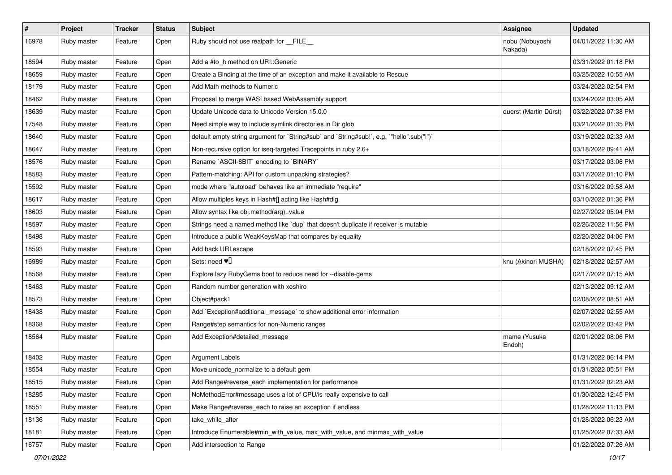| $\vert$ # | Project     | <b>Tracker</b> | <b>Status</b> | <b>Subject</b>                                                                            | <b>Assignee</b>            | <b>Updated</b>      |
|-----------|-------------|----------------|---------------|-------------------------------------------------------------------------------------------|----------------------------|---------------------|
| 16978     | Ruby master | Feature        | Open          | Ruby should not use realpath for __FILE__                                                 | nobu (Nobuyoshi<br>Nakada) | 04/01/2022 11:30 AM |
| 18594     | Ruby master | Feature        | Open          | Add a #to_h method on URI::Generic                                                        |                            | 03/31/2022 01:18 PM |
| 18659     | Ruby master | Feature        | Open          | Create a Binding at the time of an exception and make it available to Rescue              |                            | 03/25/2022 10:55 AM |
| 18179     | Ruby master | Feature        | Open          | Add Math methods to Numeric                                                               |                            | 03/24/2022 02:54 PM |
| 18462     | Ruby master | Feature        | Open          | Proposal to merge WASI based WebAssembly support                                          |                            | 03/24/2022 03:05 AM |
| 18639     | Ruby master | Feature        | Open          | Update Unicode data to Unicode Version 15.0.0                                             | duerst (Martin Dürst)      | 03/22/2022 07:38 PM |
| 17548     | Ruby master | Feature        | Open          | Need simple way to include symlink directories in Dir.glob                                |                            | 03/21/2022 01:35 PM |
| 18640     | Ruby master | Feature        | Open          | default empty string argument for `String#sub` and `String#sub!`, e.g. `"hello".sub("I")` |                            | 03/19/2022 02:33 AM |
| 18647     | Ruby master | Feature        | Open          | Non-recursive option for iseq-targeted Tracepoints in ruby 2.6+                           |                            | 03/18/2022 09:41 AM |
| 18576     | Ruby master | Feature        | Open          | Rename `ASCII-8BIT` encoding to `BINARY`                                                  |                            | 03/17/2022 03:06 PM |
| 18583     | Ruby master | Feature        | Open          | Pattern-matching: API for custom unpacking strategies?                                    |                            | 03/17/2022 01:10 PM |
| 15592     | Ruby master | Feature        | Open          | mode where "autoload" behaves like an immediate "require"                                 |                            | 03/16/2022 09:58 AM |
| 18617     | Ruby master | Feature        | Open          | Allow multiples keys in Hash#[] acting like Hash#dig                                      |                            | 03/10/2022 01:36 PM |
| 18603     | Ruby master | Feature        | Open          | Allow syntax like obj.method(arg)=value                                                   |                            | 02/27/2022 05:04 PM |
| 18597     | Ruby master | Feature        | Open          | Strings need a named method like 'dup' that doesn't duplicate if receiver is mutable      |                            | 02/26/2022 11:56 PM |
| 18498     | Ruby master | Feature        | Open          | Introduce a public WeakKeysMap that compares by equality                                  |                            | 02/20/2022 04:06 PM |
| 18593     | Ruby master | Feature        | Open          | Add back URI.escape                                                                       |                            | 02/18/2022 07:45 PM |
| 16989     | Ruby master | Feature        | Open          | Sets: need $\Psi$                                                                         | knu (Akinori MUSHA)        | 02/18/2022 02:57 AM |
| 18568     | Ruby master | Feature        | Open          | Explore lazy RubyGems boot to reduce need for --disable-gems                              |                            | 02/17/2022 07:15 AM |
| 18463     | Ruby master | Feature        | Open          | Random number generation with xoshiro                                                     |                            | 02/13/2022 09:12 AM |
| 18573     | Ruby master | Feature        | Open          | Object#pack1                                                                              |                            | 02/08/2022 08:51 AM |
| 18438     | Ruby master | Feature        | Open          | Add `Exception#additional_message` to show additional error information                   |                            | 02/07/2022 02:55 AM |
| 18368     | Ruby master | Feature        | Open          | Range#step semantics for non-Numeric ranges                                               |                            | 02/02/2022 03:42 PM |
| 18564     | Ruby master | Feature        | Open          | Add Exception#detailed_message                                                            | mame (Yusuke<br>Endoh)     | 02/01/2022 08:06 PM |
| 18402     | Ruby master | Feature        | Open          | <b>Argument Labels</b>                                                                    |                            | 01/31/2022 06:14 PM |
| 18554     | Ruby master | Feature        | Open          | Move unicode_normalize to a default gem                                                   |                            | 01/31/2022 05:51 PM |
| 18515     | Ruby master | Feature        | Open          | Add Range#reverse_each implementation for performance                                     |                            | 01/31/2022 02:23 AM |
| 18285     | Ruby master | Feature        | Open          | NoMethodError#message uses a lot of CPU/is really expensive to call                       |                            | 01/30/2022 12:45 PM |
| 18551     | Ruby master | Feature        | Open          | Make Range#reverse_each to raise an exception if endless                                  |                            | 01/28/2022 11:13 PM |
| 18136     | Ruby master | Feature        | Open          | take while after                                                                          |                            | 01/28/2022 06:23 AM |
| 18181     | Ruby master | Feature        | Open          | Introduce Enumerable#min with value, max with value, and minmax with value                |                            | 01/25/2022 07:33 AM |
| 16757     | Ruby master | Feature        | Open          | Add intersection to Range                                                                 |                            | 01/22/2022 07:26 AM |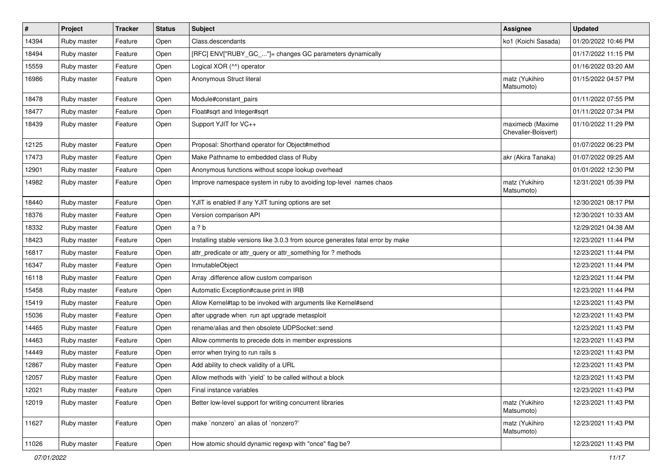| $\vert$ # | Project     | <b>Tracker</b> | <b>Status</b> | Subject                                                                         | Assignee                                | <b>Updated</b>      |
|-----------|-------------|----------------|---------------|---------------------------------------------------------------------------------|-----------------------------------------|---------------------|
| 14394     | Ruby master | Feature        | Open          | Class.descendants                                                               | ko1 (Koichi Sasada)                     | 01/20/2022 10:46 PM |
| 18494     | Ruby master | Feature        | Open          | [RFC] ENV["RUBY_GC_"]= changes GC parameters dynamically                        |                                         | 01/17/2022 11:15 PM |
| 15559     | Ruby master | Feature        | Open          | Logical XOR (^^) operator                                                       |                                         | 01/16/2022 03:20 AM |
| 16986     | Ruby master | Feature        | Open          | Anonymous Struct literal                                                        | matz (Yukihiro<br>Matsumoto)            | 01/15/2022 04:57 PM |
| 18478     | Ruby master | Feature        | Open          | Module#constant pairs                                                           |                                         | 01/11/2022 07:55 PM |
| 18477     | Ruby master | Feature        | Open          | Float#sqrt and Integer#sqrt                                                     |                                         | 01/11/2022 07:34 PM |
| 18439     | Ruby master | Feature        | Open          | Support YJIT for VC++                                                           | maximecb (Maxime<br>Chevalier-Boisvert) | 01/10/2022 11:29 PM |
| 12125     | Ruby master | Feature        | Open          | Proposal: Shorthand operator for Object#method                                  |                                         | 01/07/2022 06:23 PM |
| 17473     | Ruby master | Feature        | Open          | Make Pathname to embedded class of Ruby                                         | akr (Akira Tanaka)                      | 01/07/2022 09:25 AM |
| 12901     | Ruby master | Feature        | Open          | Anonymous functions without scope lookup overhead                               |                                         | 01/01/2022 12:30 PM |
| 14982     | Ruby master | Feature        | Open          | Improve namespace system in ruby to avoiding top-level names chaos              | matz (Yukihiro<br>Matsumoto)            | 12/31/2021 05:39 PM |
| 18440     | Ruby master | Feature        | Open          | YJIT is enabled if any YJIT tuning options are set                              |                                         | 12/30/2021 08:17 PM |
| 18376     | Ruby master | Feature        | Open          | Version comparison API                                                          |                                         | 12/30/2021 10:33 AM |
| 18332     | Ruby master | Feature        | Open          | a ? b                                                                           |                                         | 12/29/2021 04:38 AM |
| 18423     | Ruby master | Feature        | Open          | Installing stable versions like 3.0.3 from source generates fatal error by make |                                         | 12/23/2021 11:44 PM |
| 16817     | Ruby master | Feature        | Open          | attr_predicate or attr_query or attr_something for ? methods                    |                                         | 12/23/2021 11:44 PM |
| 16347     | Ruby master | Feature        | Open          | InmutableObject                                                                 |                                         | 12/23/2021 11:44 PM |
| 16118     | Ruby master | Feature        | Open          | Array .difference allow custom comparison                                       |                                         | 12/23/2021 11:44 PM |
| 15458     | Ruby master | Feature        | Open          | Automatic Exception#cause print in IRB                                          |                                         | 12/23/2021 11:44 PM |
| 15419     | Ruby master | Feature        | Open          | Allow Kernel#tap to be invoked with arguments like Kernel#send                  |                                         | 12/23/2021 11:43 PM |
| 15036     | Ruby master | Feature        | Open          | after upgrade when run apt upgrade metasploit                                   |                                         | 12/23/2021 11:43 PM |
| 14465     | Ruby master | Feature        | Open          | rename/alias and then obsolete UDPSocket::send                                  |                                         | 12/23/2021 11:43 PM |
| 14463     | Ruby master | Feature        | Open          | Allow comments to precede dots in member expressions                            |                                         | 12/23/2021 11:43 PM |
| 14449     | Ruby master | Feature        | Open          | error when trying to run rails s                                                |                                         | 12/23/2021 11:43 PM |
| 12867     | Ruby master | Feature        | Open          | Add ability to check validity of a URL                                          |                                         | 12/23/2021 11:43 PM |
| 12057     | Ruby master | Feature        | Open          | Allow methods with `yield` to be called without a block                         |                                         | 12/23/2021 11:43 PM |
| 12021     | Ruby master | Feature        | Open          | Final instance variables                                                        |                                         | 12/23/2021 11:43 PM |
| 12019     | Ruby master | Feature        | Open          | Better low-level support for writing concurrent libraries                       | matz (Yukihiro<br>Matsumoto)            | 12/23/2021 11:43 PM |
| 11627     | Ruby master | Feature        | Open          | make 'nonzero' an alias of 'nonzero?'                                           | matz (Yukihiro<br>Matsumoto)            | 12/23/2021 11:43 PM |
| 11026     | Ruby master | Feature        | Open          | How atomic should dynamic regexp with "once" flag be?                           |                                         | 12/23/2021 11:43 PM |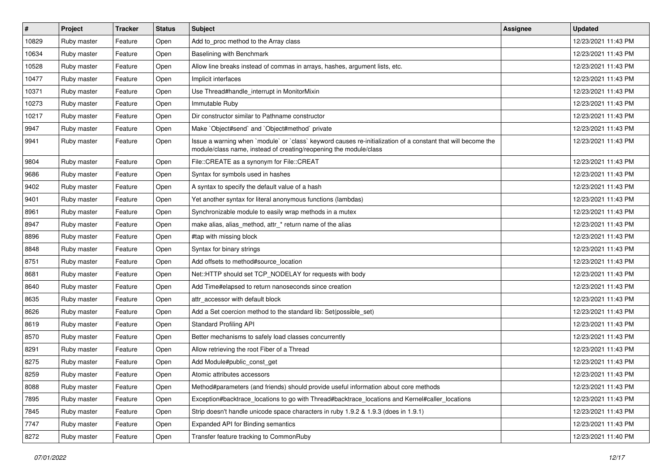| #     | Project     | <b>Tracker</b> | <b>Status</b> | Subject                                                                                                                                                                           | <b>Assignee</b> | <b>Updated</b>      |
|-------|-------------|----------------|---------------|-----------------------------------------------------------------------------------------------------------------------------------------------------------------------------------|-----------------|---------------------|
| 10829 | Ruby master | Feature        | Open          | Add to_proc method to the Array class                                                                                                                                             |                 | 12/23/2021 11:43 PM |
| 10634 | Ruby master | Feature        | Open          | <b>Baselining with Benchmark</b>                                                                                                                                                  |                 | 12/23/2021 11:43 PM |
| 10528 | Ruby master | Feature        | Open          | Allow line breaks instead of commas in arrays, hashes, argument lists, etc.                                                                                                       |                 | 12/23/2021 11:43 PM |
| 10477 | Ruby master | Feature        | Open          | Implicit interfaces                                                                                                                                                               |                 | 12/23/2021 11:43 PM |
| 10371 | Ruby master | Feature        | Open          | Use Thread#handle_interrupt in MonitorMixin                                                                                                                                       |                 | 12/23/2021 11:43 PM |
| 10273 | Ruby master | Feature        | Open          | Immutable Ruby                                                                                                                                                                    |                 | 12/23/2021 11:43 PM |
| 10217 | Ruby master | Feature        | Open          | Dir constructor similar to Pathname constructor                                                                                                                                   |                 | 12/23/2021 11:43 PM |
| 9947  | Ruby master | Feature        | Open          | Make `Object#send` and `Object#method` private                                                                                                                                    |                 | 12/23/2021 11:43 PM |
| 9941  | Ruby master | Feature        | Open          | Issue a warning when `module` or `class` keyword causes re-initialization of a constant that will become the<br>module/class name, instead of creating/reopening the module/class |                 | 12/23/2021 11:43 PM |
| 9804  | Ruby master | Feature        | Open          | File::CREATE as a synonym for File::CREAT                                                                                                                                         |                 | 12/23/2021 11:43 PM |
| 9686  | Ruby master | Feature        | Open          | Syntax for symbols used in hashes                                                                                                                                                 |                 | 12/23/2021 11:43 PM |
| 9402  | Ruby master | Feature        | Open          | A syntax to specify the default value of a hash                                                                                                                                   |                 | 12/23/2021 11:43 PM |
| 9401  | Ruby master | Feature        | Open          | Yet another syntax for literal anonymous functions (lambdas)                                                                                                                      |                 | 12/23/2021 11:43 PM |
| 8961  | Ruby master | Feature        | Open          | Synchronizable module to easily wrap methods in a mutex                                                                                                                           |                 | 12/23/2021 11:43 PM |
| 8947  | Ruby master | Feature        | Open          | make alias, alias_method, attr_* return name of the alias                                                                                                                         |                 | 12/23/2021 11:43 PM |
| 8896  | Ruby master | Feature        | Open          | #tap with missing block                                                                                                                                                           |                 | 12/23/2021 11:43 PM |
| 8848  | Ruby master | Feature        | Open          | Syntax for binary strings                                                                                                                                                         |                 | 12/23/2021 11:43 PM |
| 8751  | Ruby master | Feature        | Open          | Add offsets to method#source_location                                                                                                                                             |                 | 12/23/2021 11:43 PM |
| 8681  | Ruby master | Feature        | Open          | Net::HTTP should set TCP_NODELAY for requests with body                                                                                                                           |                 | 12/23/2021 11:43 PM |
| 8640  | Ruby master | Feature        | Open          | Add Time#elapsed to return nanoseconds since creation                                                                                                                             |                 | 12/23/2021 11:43 PM |
| 8635  | Ruby master | Feature        | Open          | attr accessor with default block                                                                                                                                                  |                 | 12/23/2021 11:43 PM |
| 8626  | Ruby master | Feature        | Open          | Add a Set coercion method to the standard lib: Set(possible_set)                                                                                                                  |                 | 12/23/2021 11:43 PM |
| 8619  | Ruby master | Feature        | Open          | <b>Standard Profiling API</b>                                                                                                                                                     |                 | 12/23/2021 11:43 PM |
| 8570  | Ruby master | Feature        | Open          | Better mechanisms to safely load classes concurrently                                                                                                                             |                 | 12/23/2021 11:43 PM |
| 8291  | Ruby master | Feature        | Open          | Allow retrieving the root Fiber of a Thread                                                                                                                                       |                 | 12/23/2021 11:43 PM |
| 8275  | Ruby master | Feature        | Open          | Add Module#public_const_get                                                                                                                                                       |                 | 12/23/2021 11:43 PM |
| 8259  | Ruby master | Feature        | Open          | Atomic attributes accessors                                                                                                                                                       |                 | 12/23/2021 11:43 PM |
| 8088  | Ruby master | Feature        | Open          | Method#parameters (and friends) should provide useful information about core methods                                                                                              |                 | 12/23/2021 11:43 PM |
| 7895  | Ruby master | Feature        | Open          | Exception#backtrace_locations to go with Thread#backtrace_locations and Kernel#caller_locations                                                                                   |                 | 12/23/2021 11:43 PM |
| 7845  | Ruby master | Feature        | Open          | Strip doesn't handle unicode space characters in ruby 1.9.2 & 1.9.3 (does in 1.9.1)                                                                                               |                 | 12/23/2021 11:43 PM |
| 7747  | Ruby master | Feature        | Open          | Expanded API for Binding semantics                                                                                                                                                |                 | 12/23/2021 11:43 PM |
| 8272  | Ruby master | Feature        | Open          | Transfer feature tracking to CommonRuby                                                                                                                                           |                 | 12/23/2021 11:40 PM |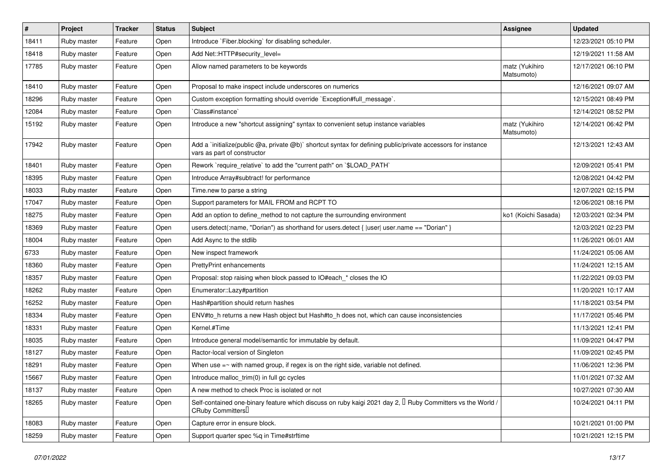| #     | Project     | Tracker | <b>Status</b> | Subject                                                                                                                                           | Assignee                     | <b>Updated</b>      |
|-------|-------------|---------|---------------|---------------------------------------------------------------------------------------------------------------------------------------------------|------------------------------|---------------------|
| 18411 | Ruby master | Feature | Open          | Introduce `Fiber.blocking` for disabling scheduler.                                                                                               |                              | 12/23/2021 05:10 PM |
| 18418 | Ruby master | Feature | Open          | Add Net::HTTP#security_level=                                                                                                                     |                              | 12/19/2021 11:58 AM |
| 17785 | Ruby master | Feature | Open          | Allow named parameters to be keywords                                                                                                             | matz (Yukihiro<br>Matsumoto) | 12/17/2021 06:10 PM |
| 18410 | Ruby master | Feature | Open          | Proposal to make inspect include underscores on numerics                                                                                          |                              | 12/16/2021 09:07 AM |
| 18296 | Ruby master | Feature | Open          | Custom exception formatting should override `Exception#full_message`.                                                                             |                              | 12/15/2021 08:49 PM |
| 12084 | Ruby master | Feature | Open          | Class#instance`                                                                                                                                   |                              | 12/14/2021 08:52 PM |
| 15192 | Ruby master | Feature | Open          | Introduce a new "shortcut assigning" syntax to convenient setup instance variables                                                                | matz (Yukihiro<br>Matsumoto) | 12/14/2021 06:42 PM |
| 17942 | Ruby master | Feature | Open          | Add a `initialize(public @a, private @b)` shortcut syntax for defining public/private accessors for instance<br>vars as part of constructor       |                              | 12/13/2021 12:43 AM |
| 18401 | Ruby master | Feature | Open          | Rework `require_relative` to add the "current path" on `\$LOAD_PATH`                                                                              |                              | 12/09/2021 05:41 PM |
| 18395 | Ruby master | Feature | Open          | Introduce Array#subtract! for performance                                                                                                         |                              | 12/08/2021 04:42 PM |
| 18033 | Ruby master | Feature | Open          | Time.new to parse a string                                                                                                                        |                              | 12/07/2021 02:15 PM |
| 17047 | Ruby master | Feature | Open          | Support parameters for MAIL FROM and RCPT TO                                                                                                      |                              | 12/06/2021 08:16 PM |
| 18275 | Ruby master | Feature | Open          | Add an option to define method to not capture the surrounding environment                                                                         | ko1 (Koichi Sasada)          | 12/03/2021 02:34 PM |
| 18369 | Ruby master | Feature | Open          | users.detect(:name, "Dorian") as shorthand for users.detect {  user  user.name == "Dorian" }                                                      |                              | 12/03/2021 02:23 PM |
| 18004 | Ruby master | Feature | Open          | Add Async to the stdlib                                                                                                                           |                              | 11/26/2021 06:01 AM |
| 6733  | Ruby master | Feature | Open          | New inspect framework                                                                                                                             |                              | 11/24/2021 05:06 AM |
| 18360 | Ruby master | Feature | Open          | <b>PrettyPrint enhancements</b>                                                                                                                   |                              | 11/24/2021 12:15 AM |
| 18357 | Ruby master | Feature | Open          | Proposal: stop raising when block passed to IO#each_* closes the IO                                                                               |                              | 11/22/2021 09:03 PM |
| 18262 | Ruby master | Feature | Open          | Enumerator::Lazy#partition                                                                                                                        |                              | 11/20/2021 10:17 AM |
| 16252 | Ruby master | Feature | Open          | Hash#partition should return hashes                                                                                                               |                              | 11/18/2021 03:54 PM |
| 18334 | Ruby master | Feature | Open          | ENV#to_h returns a new Hash object but Hash#to_h does not, which can cause inconsistencies                                                        |                              | 11/17/2021 05:46 PM |
| 18331 | Ruby master | Feature | Open          | Kernel.#Time                                                                                                                                      |                              | 11/13/2021 12:41 PM |
| 18035 | Ruby master | Feature | Open          | Introduce general model/semantic for immutable by default.                                                                                        |                              | 11/09/2021 04:47 PM |
| 18127 | Ruby master | Feature | Open          | Ractor-local version of Singleton                                                                                                                 |                              | 11/09/2021 02:45 PM |
| 18291 | Ruby master | Feature | Open          | When use $=\sim$ with named group, if regex is on the right side, variable not defined.                                                           |                              | 11/06/2021 12:36 PM |
| 15667 | Ruby master | Feature | Open          | Introduce malloc_trim(0) in full gc cycles                                                                                                        |                              | 11/01/2021 07:32 AM |
| 18137 | Ruby master | Feature | Open          | A new method to check Proc is isolated or not                                                                                                     |                              | 10/27/2021 07:30 AM |
| 18265 | Ruby master | Feature | Open          | Self-contained one-binary feature which discuss on ruby kaigi 2021 day 2, $\Box$ Ruby Committers vs the World /<br>CRuby Committers <sup>[]</sup> |                              | 10/24/2021 04:11 PM |
| 18083 | Ruby master | Feature | Open          | Capture error in ensure block.                                                                                                                    |                              | 10/21/2021 01:00 PM |
| 18259 | Ruby master | Feature | Open          | Support quarter spec %q in Time#strftime                                                                                                          |                              | 10/21/2021 12:15 PM |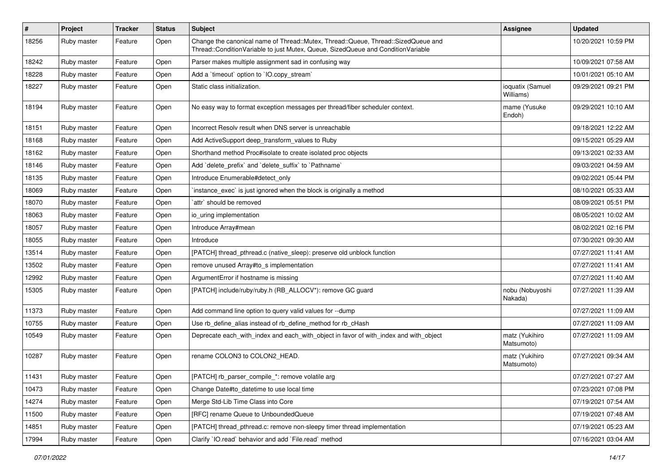| $\#$  | Project     | <b>Tracker</b> | <b>Status</b> | Subject                                                                                                                                                               | <b>Assignee</b>               | <b>Updated</b>      |
|-------|-------------|----------------|---------------|-----------------------------------------------------------------------------------------------------------------------------------------------------------------------|-------------------------------|---------------------|
| 18256 | Ruby master | Feature        | Open          | Change the canonical name of Thread::Mutex, Thread::Queue, Thread::SizedQueue and<br>Thread::ConditionVariable to just Mutex, Queue, SizedQueue and ConditionVariable |                               | 10/20/2021 10:59 PM |
| 18242 | Ruby master | Feature        | Open          | Parser makes multiple assignment sad in confusing way                                                                                                                 |                               | 10/09/2021 07:58 AM |
| 18228 | Ruby master | Feature        | Open          | Add a 'timeout' option to 'IO.copy_stream'                                                                                                                            |                               | 10/01/2021 05:10 AM |
| 18227 | Ruby master | Feature        | Open          | Static class initialization.                                                                                                                                          | ioquatix (Samuel<br>Williams) | 09/29/2021 09:21 PM |
| 18194 | Ruby master | Feature        | Open          | No easy way to format exception messages per thread/fiber scheduler context.                                                                                          | mame (Yusuke<br>Endoh)        | 09/29/2021 10:10 AM |
| 18151 | Ruby master | Feature        | Open          | Incorrect Resolv result when DNS server is unreachable                                                                                                                |                               | 09/18/2021 12:22 AM |
| 18168 | Ruby master | Feature        | Open          | Add ActiveSupport deep_transform_values to Ruby                                                                                                                       |                               | 09/15/2021 05:29 AM |
| 18162 | Ruby master | Feature        | Open          | Shorthand method Proc#isolate to create isolated proc objects                                                                                                         |                               | 09/13/2021 02:33 AM |
| 18146 | Ruby master | Feature        | Open          | Add `delete_prefix` and `delete_suffix` to `Pathname`                                                                                                                 |                               | 09/03/2021 04:59 AM |
| 18135 | Ruby master | Feature        | Open          | Introduce Enumerable#detect_only                                                                                                                                      |                               | 09/02/2021 05:44 PM |
| 18069 | Ruby master | Feature        | Open          | instance_exec` is just ignored when the block is originally a method                                                                                                  |                               | 08/10/2021 05:33 AM |
| 18070 | Ruby master | Feature        | Open          | `attr` should be removed                                                                                                                                              |                               | 08/09/2021 05:51 PM |
| 18063 | Ruby master | Feature        | Open          | io uring implementation                                                                                                                                               |                               | 08/05/2021 10:02 AM |
| 18057 | Ruby master | Feature        | Open          | Introduce Array#mean                                                                                                                                                  |                               | 08/02/2021 02:16 PM |
| 18055 | Ruby master | Feature        | Open          | Introduce                                                                                                                                                             |                               | 07/30/2021 09:30 AM |
| 13514 | Ruby master | Feature        | Open          | [PATCH] thread pthread.c (native sleep): preserve old unblock function                                                                                                |                               | 07/27/2021 11:41 AM |
| 13502 | Ruby master | Feature        | Open          | remove unused Array#to s implementation                                                                                                                               |                               | 07/27/2021 11:41 AM |
| 12992 | Ruby master | Feature        | Open          | ArgumentError if hostname is missing                                                                                                                                  |                               | 07/27/2021 11:40 AM |
| 15305 | Ruby master | Feature        | Open          | [PATCH] include/ruby/ruby.h (RB_ALLOCV*): remove GC guard                                                                                                             | nobu (Nobuyoshi<br>Nakada)    | 07/27/2021 11:39 AM |
| 11373 | Ruby master | Feature        | Open          | Add command line option to query valid values for --dump                                                                                                              |                               | 07/27/2021 11:09 AM |
| 10755 | Ruby master | Feature        | Open          | Use rb_define_alias instead of rb_define_method for rb_cHash                                                                                                          |                               | 07/27/2021 11:09 AM |
| 10549 | Ruby master | Feature        | Open          | Deprecate each_with_index and each_with_object in favor of with_index and with_object                                                                                 | matz (Yukihiro<br>Matsumoto)  | 07/27/2021 11:09 AM |
| 10287 | Ruby master | Feature        | Open          | rename COLON3 to COLON2 HEAD.                                                                                                                                         | matz (Yukihiro<br>Matsumoto)  | 07/27/2021 09:34 AM |
| 11431 | Ruby master | Feature        | Open          | [PATCH] rb_parser_compile_*: remove volatile arg                                                                                                                      |                               | 07/27/2021 07:27 AM |
| 10473 | Ruby master | Feature        | Open          | Change Date#to datetime to use local time                                                                                                                             |                               | 07/23/2021 07:08 PM |
| 14274 | Ruby master | Feature        | Open          | Merge Std-Lib Time Class into Core                                                                                                                                    |                               | 07/19/2021 07:54 AM |
| 11500 | Ruby master | Feature        | Open          | [RFC] rename Queue to UnboundedQueue                                                                                                                                  |                               | 07/19/2021 07:48 AM |
| 14851 | Ruby master | Feature        | Open          | [PATCH] thread_pthread.c: remove non-sleepy timer thread implementation                                                                                               |                               | 07/19/2021 05:23 AM |
| 17994 | Ruby master | Feature        | Open          | Clarify `IO.read` behavior and add `File.read` method                                                                                                                 |                               | 07/16/2021 03:04 AM |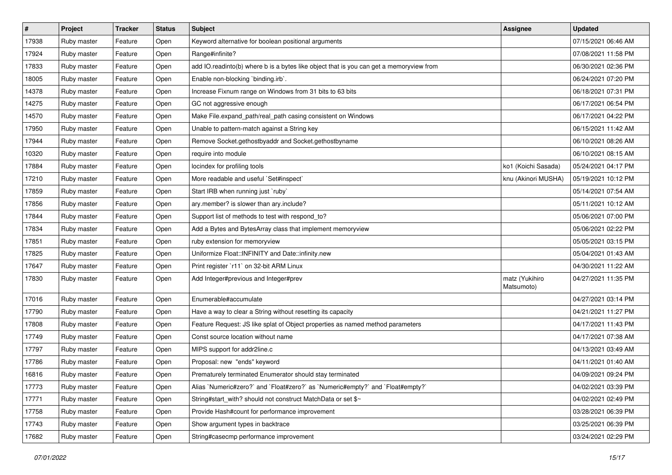| $\vert$ # | Project     | <b>Tracker</b> | <b>Status</b> | Subject                                                                                 | <b>Assignee</b>              | <b>Updated</b>      |
|-----------|-------------|----------------|---------------|-----------------------------------------------------------------------------------------|------------------------------|---------------------|
| 17938     | Ruby master | Feature        | Open          | Keyword alternative for boolean positional arguments                                    |                              | 07/15/2021 06:46 AM |
| 17924     | Ruby master | Feature        | Open          | Range#infinite?                                                                         |                              | 07/08/2021 11:58 PM |
| 17833     | Ruby master | Feature        | Open          | add IO.readinto(b) where b is a bytes like object that is you can get a memoryview from |                              | 06/30/2021 02:36 PM |
| 18005     | Ruby master | Feature        | Open          | Enable non-blocking 'binding.irb'.                                                      |                              | 06/24/2021 07:20 PM |
| 14378     | Ruby master | Feature        | Open          | Increase Fixnum range on Windows from 31 bits to 63 bits                                |                              | 06/18/2021 07:31 PM |
| 14275     | Ruby master | Feature        | Open          | GC not aggressive enough                                                                |                              | 06/17/2021 06:54 PM |
| 14570     | Ruby master | Feature        | Open          | Make File.expand_path/real_path casing consistent on Windows                            |                              | 06/17/2021 04:22 PM |
| 17950     | Ruby master | Feature        | Open          | Unable to pattern-match against a String key                                            |                              | 06/15/2021 11:42 AM |
| 17944     | Ruby master | Feature        | Open          | Remove Socket.gethostbyaddr and Socket.gethostbyname                                    |                              | 06/10/2021 08:26 AM |
| 10320     | Ruby master | Feature        | Open          | require into module                                                                     |                              | 06/10/2021 08:15 AM |
| 17884     | Ruby master | Feature        | Open          | locindex for profiling tools                                                            | ko1 (Koichi Sasada)          | 05/24/2021 04:17 PM |
| 17210     | Ruby master | Feature        | Open          | More readable and useful `Set#inspect`                                                  | knu (Akinori MUSHA)          | 05/19/2021 10:12 PM |
| 17859     | Ruby master | Feature        | Open          | Start IRB when running just `ruby`                                                      |                              | 05/14/2021 07:54 AM |
| 17856     | Ruby master | Feature        | Open          | ary.member? is slower than ary.include?                                                 |                              | 05/11/2021 10:12 AM |
| 17844     | Ruby master | Feature        | Open          | Support list of methods to test with respond_to?                                        |                              | 05/06/2021 07:00 PM |
| 17834     | Ruby master | Feature        | Open          | Add a Bytes and BytesArray class that implement memoryview                              |                              | 05/06/2021 02:22 PM |
| 17851     | Ruby master | Feature        | Open          | ruby extension for memoryview                                                           |                              | 05/05/2021 03:15 PM |
| 17825     | Ruby master | Feature        | Open          | Uniformize Float::INFINITY and Date::infinity.new                                       |                              | 05/04/2021 01:43 AM |
| 17647     | Ruby master | Feature        | Open          | Print register `r11` on 32-bit ARM Linux                                                |                              | 04/30/2021 11:22 AM |
| 17830     | Ruby master | Feature        | Open          | Add Integer#previous and Integer#prev                                                   | matz (Yukihiro<br>Matsumoto) | 04/27/2021 11:35 PM |
| 17016     | Ruby master | Feature        | Open          | Enumerable#accumulate                                                                   |                              | 04/27/2021 03:14 PM |
| 17790     | Ruby master | Feature        | Open          | Have a way to clear a String without resetting its capacity                             |                              | 04/21/2021 11:27 PM |
| 17808     | Ruby master | Feature        | Open          | Feature Request: JS like splat of Object properties as named method parameters          |                              | 04/17/2021 11:43 PM |
| 17749     | Ruby master | Feature        | Open          | Const source location without name                                                      |                              | 04/17/2021 07:38 AM |
| 17797     | Ruby master | Feature        | Open          | MIPS support for addr2line.c                                                            |                              | 04/13/2021 03:49 AM |
| 17786     | Ruby master | Feature        | Open          | Proposal: new "ends" keyword                                                            |                              | 04/11/2021 01:40 AM |
| 16816     | Ruby master | Feature        | Open          | Prematurely terminated Enumerator should stay terminated                                |                              | 04/09/2021 09:24 PM |
| 17773     | Ruby master | Feature        | Open          | Alias `Numeric#zero?` and `Float#zero?` as `Numeric#empty?` and `Float#empty?`          |                              | 04/02/2021 03:39 PM |
| 17771     | Ruby master | Feature        | Open          | String#start_with? should not construct MatchData or set \$~                            |                              | 04/02/2021 02:49 PM |
| 17758     | Ruby master | Feature        | Open          | Provide Hash#count for performance improvement                                          |                              | 03/28/2021 06:39 PM |
| 17743     | Ruby master | Feature        | Open          | Show argument types in backtrace                                                        |                              | 03/25/2021 06:39 PM |
| 17682     | Ruby master | Feature        | Open          | String#casecmp performance improvement                                                  |                              | 03/24/2021 02:29 PM |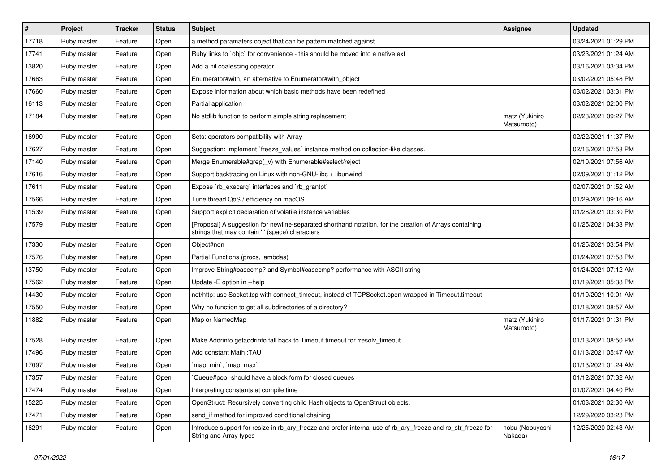| #     | Project     | <b>Tracker</b> | <b>Status</b> | Subject                                                                                                                                                    | Assignee                     | <b>Updated</b>      |
|-------|-------------|----------------|---------------|------------------------------------------------------------------------------------------------------------------------------------------------------------|------------------------------|---------------------|
| 17718 | Ruby master | Feature        | Open          | a method paramaters object that can be pattern matched against                                                                                             |                              | 03/24/2021 01:29 PM |
| 17741 | Ruby master | Feature        | Open          | Ruby links to `objc` for convenience - this should be moved into a native ext                                                                              |                              | 03/23/2021 01:24 AM |
| 13820 | Ruby master | Feature        | Open          | Add a nil coalescing operator                                                                                                                              |                              | 03/16/2021 03:34 PM |
| 17663 | Ruby master | Feature        | Open          | Enumerator#with, an alternative to Enumerator#with_object                                                                                                  |                              | 03/02/2021 05:48 PM |
| 17660 | Ruby master | Feature        | Open          | Expose information about which basic methods have been redefined                                                                                           |                              | 03/02/2021 03:31 PM |
| 16113 | Ruby master | Feature        | Open          | Partial application                                                                                                                                        |                              | 03/02/2021 02:00 PM |
| 17184 | Ruby master | Feature        | Open          | No stdlib function to perform simple string replacement                                                                                                    | matz (Yukihiro<br>Matsumoto) | 02/23/2021 09:27 PM |
| 16990 | Ruby master | Feature        | Open          | Sets: operators compatibility with Array                                                                                                                   |                              | 02/22/2021 11:37 PM |
| 17627 | Ruby master | Feature        | Open          | Suggestion: Implement `freeze_values` instance method on collection-like classes.                                                                          |                              | 02/16/2021 07:58 PM |
| 17140 | Ruby master | Feature        | Open          | Merge Enumerable#grep(_v) with Enumerable#select/reject                                                                                                    |                              | 02/10/2021 07:56 AM |
| 17616 | Ruby master | Feature        | Open          | Support backtracing on Linux with non-GNU-libc + libunwind                                                                                                 |                              | 02/09/2021 01:12 PM |
| 17611 | Ruby master | Feature        | Open          | Expose `rb_execarg` interfaces and `rb_grantpt`                                                                                                            |                              | 02/07/2021 01:52 AM |
| 17566 | Ruby master | Feature        | Open          | Tune thread QoS / efficiency on macOS                                                                                                                      |                              | 01/29/2021 09:16 AM |
| 11539 | Ruby master | Feature        | Open          | Support explicit declaration of volatile instance variables                                                                                                |                              | 01/26/2021 03:30 PM |
| 17579 | Ruby master | Feature        | Open          | [Proposal] A suggestion for newline-separated shorthand notation, for the creation of Arrays containing<br>strings that may contain ' ' (space) characters |                              | 01/25/2021 04:33 PM |
| 17330 | Ruby master | Feature        | Open          | Object#non                                                                                                                                                 |                              | 01/25/2021 03:54 PM |
| 17576 | Ruby master | Feature        | Open          | Partial Functions (procs, lambdas)                                                                                                                         |                              | 01/24/2021 07:58 PM |
| 13750 | Ruby master | Feature        | Open          | Improve String#casecmp? and Symbol#casecmp? performance with ASCII string                                                                                  |                              | 01/24/2021 07:12 AM |
| 17562 | Ruby master | Feature        | Open          | Update - E option in --help                                                                                                                                |                              | 01/19/2021 05:38 PM |
| 14430 | Ruby master | Feature        | Open          | net/http: use Socket.tcp with connect_timeout, instead of TCPSocket.open wrapped in Timeout.timeout                                                        |                              | 01/19/2021 10:01 AM |
| 17550 | Ruby master | Feature        | Open          | Why no function to get all subdirectories of a directory?                                                                                                  |                              | 01/18/2021 08:57 AM |
| 11882 | Ruby master | Feature        | Open          | Map or NamedMap                                                                                                                                            | matz (Yukihiro<br>Matsumoto) | 01/17/2021 01:31 PM |
| 17528 | Ruby master | Feature        | Open          | Make Addrinfo.getaddrinfo fall back to Timeout.timeout for :resolv_timeout                                                                                 |                              | 01/13/2021 08:50 PM |
| 17496 | Ruby master | Feature        | Open          | Add constant Math::TAU                                                                                                                                     |                              | 01/13/2021 05:47 AM |
| 17097 | Ruby master | Feature        | Open          | `map_min`, `map_max`                                                                                                                                       |                              | 01/13/2021 01:24 AM |
| 17357 | Ruby master | Feature        | Open          | Queue#pop` should have a block form for closed queues                                                                                                      |                              | 01/12/2021 07:32 AM |
| 17474 | Ruby master | Feature        | Open          | Interpreting constants at compile time                                                                                                                     |                              | 01/07/2021 04:40 PM |
| 15225 | Ruby master | Feature        | Open          | OpenStruct: Recursively converting child Hash objects to OpenStruct objects.                                                                               |                              | 01/03/2021 02:30 AM |
| 17471 | Ruby master | Feature        | Open          | send if method for improved conditional chaining                                                                                                           |                              | 12/29/2020 03:23 PM |
| 16291 | Ruby master | Feature        | Open          | Introduce support for resize in rb_ary_freeze and prefer internal use of rb_ary_freeze and rb_str_freeze for<br>String and Array types                     | nobu (Nobuyoshi<br>Nakada)   | 12/25/2020 02:43 AM |